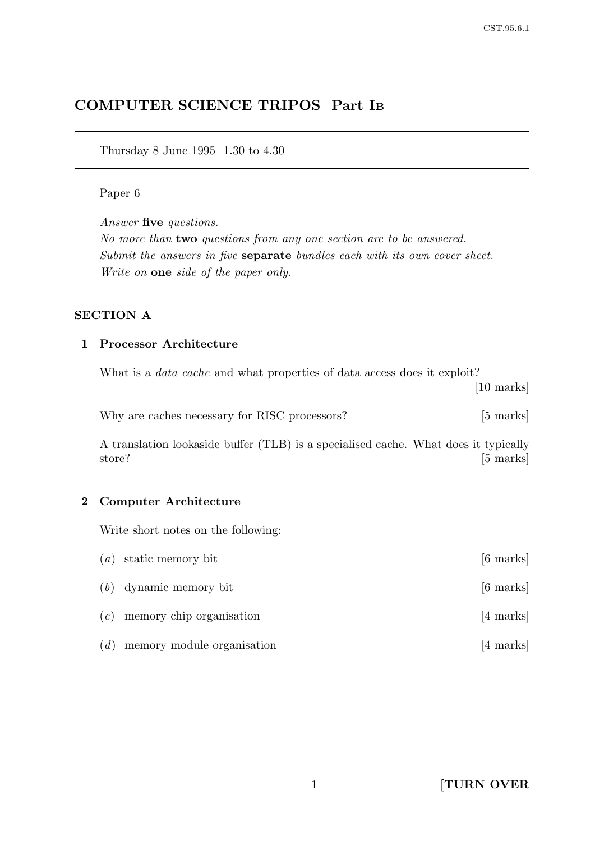# COMPUTER SCIENCE TRIPOS Part I<sup>B</sup>

Thursday 8 June 1995 1.30 to 4.30

#### Paper 6

Answer five questions.

No more than two questions from any one section are to be answered. Submit the answers in five separate bundles each with its own cover sheet. Write on one side of the paper only.

#### SECTION A

### 1 Processor Architecture

What is a *data cache* and what properties of data access does it exploit?

[10 marks]

| Why are caches necessary for RISC processors? |  | $[5 \text{ marks}]$ |
|-----------------------------------------------|--|---------------------|
|-----------------------------------------------|--|---------------------|

A translation lookaside buffer (TLB) is a specialised cache. What does it typically store? [5 marks]

### 2 Computer Architecture

Write short notes on the following:

|     | $(a)$ static memory bit        | $[6 \text{ marks}]$ |
|-----|--------------------------------|---------------------|
|     | $(b)$ dynamic memory bit       | $[6 \text{ marks}]$ |
|     | $(c)$ memory chip organisation | [4 marks]           |
| (d) | memory module organisation     | [4 marks]           |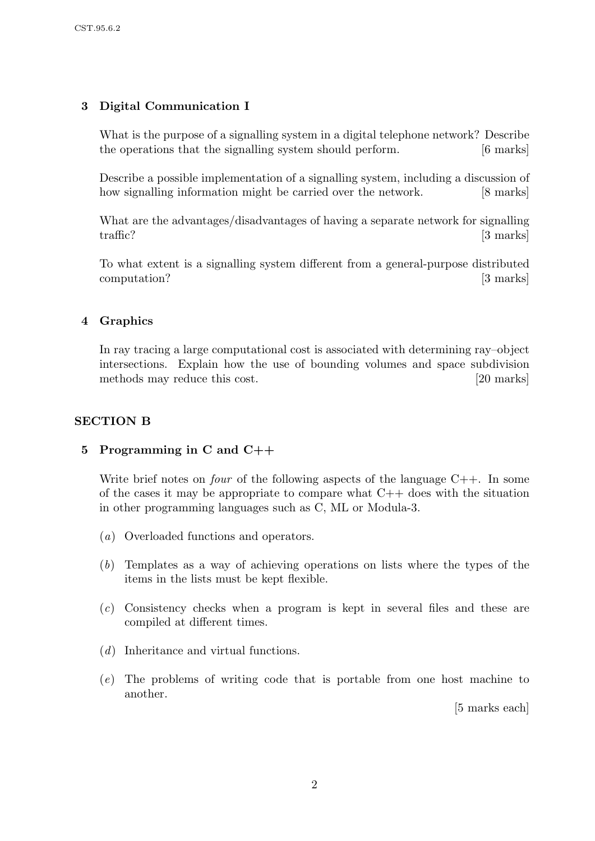# 3 Digital Communication I

What is the purpose of a signalling system in a digital telephone network? Describe the operations that the signalling system should perform. [6 marks]

Describe a possible implementation of a signalling system, including a discussion of how signalling information might be carried over the network. [8 marks]

What are the advantages/disadvantages of having a separate network for signalling traffic? [3 marks]

To what extent is a signalling system different from a general-purpose distributed computation? [3 marks]

### 4 Graphics

In ray tracing a large computational cost is associated with determining ray–object intersections. Explain how the use of bounding volumes and space subdivision methods may reduce this cost. [20 marks]

### SECTION B

#### 5 Programming in C and C++

Write brief notes on *four* of the following aspects of the language  $C++$ . In some of the cases it may be appropriate to compare what  $C++$  does with the situation in other programming languages such as C, ML or Modula-3.

- (a) Overloaded functions and operators.
- (b) Templates as a way of achieving operations on lists where the types of the items in the lists must be kept flexible.
- (c) Consistency checks when a program is kept in several files and these are compiled at different times.
- (d) Inheritance and virtual functions.
- (e) The problems of writing code that is portable from one host machine to another.

[5 marks each]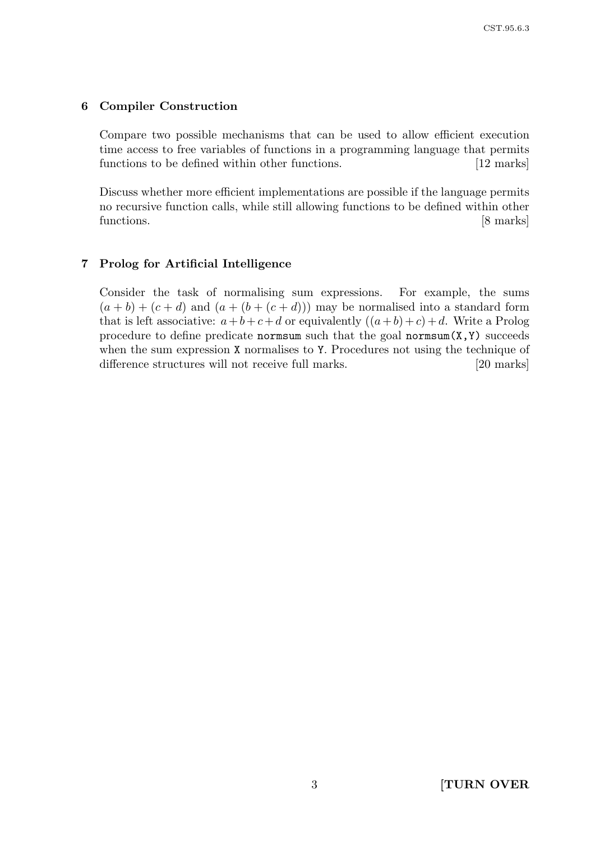#### 6 Compiler Construction

Compare two possible mechanisms that can be used to allow efficient execution time access to free variables of functions in a programming language that permits functions to be defined within other functions. [12 marks]

Discuss whether more efficient implementations are possible if the language permits no recursive function calls, while still allowing functions to be defined within other functions. [8 marks]

#### 7 Prolog for Artificial Intelligence

Consider the task of normalising sum expressions. For example, the sums  $(a + b) + (c + d)$  and  $(a + (b + (c + d)))$  may be normalised into a standard form that is left associative:  $a+b+c+d$  or equivalently  $((a+b)+c)+d$ . Write a Prolog procedure to define predicate normsum such that the goal normsum $(X, Y)$  succeeds when the sum expression X normalises to Y. Procedures not using the technique of difference structures will not receive full marks. [20 marks]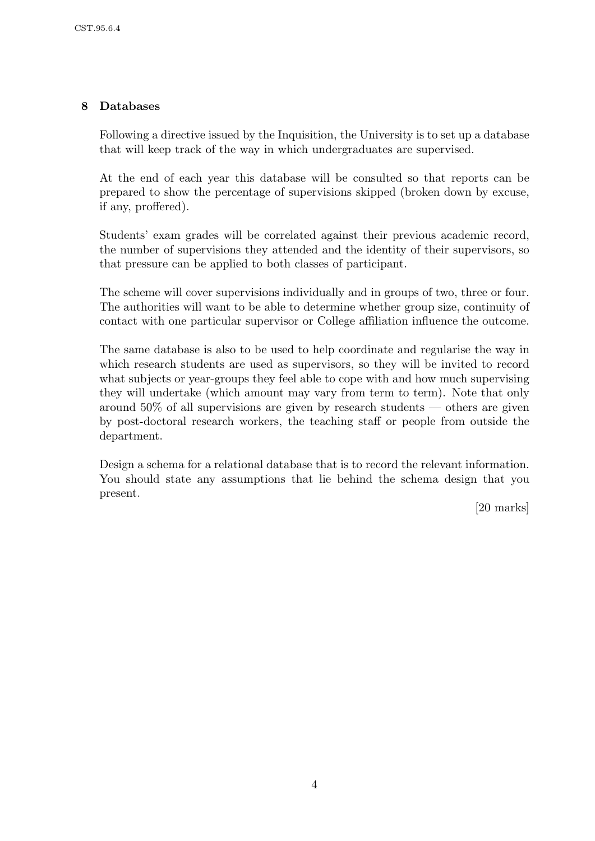# 8 Databases

Following a directive issued by the Inquisition, the University is to set up a database that will keep track of the way in which undergraduates are supervised.

At the end of each year this database will be consulted so that reports can be prepared to show the percentage of supervisions skipped (broken down by excuse, if any, proffered).

Students' exam grades will be correlated against their previous academic record, the number of supervisions they attended and the identity of their supervisors, so that pressure can be applied to both classes of participant.

The scheme will cover supervisions individually and in groups of two, three or four. The authorities will want to be able to determine whether group size, continuity of contact with one particular supervisor or College affiliation influence the outcome.

The same database is also to be used to help coordinate and regularise the way in which research students are used as supervisors, so they will be invited to record what subjects or year-groups they feel able to cope with and how much supervising they will undertake (which amount may vary from term to term). Note that only around 50% of all supervisions are given by research students — others are given by post-doctoral research workers, the teaching staff or people from outside the department.

Design a schema for a relational database that is to record the relevant information. You should state any assumptions that lie behind the schema design that you present.

[20 marks]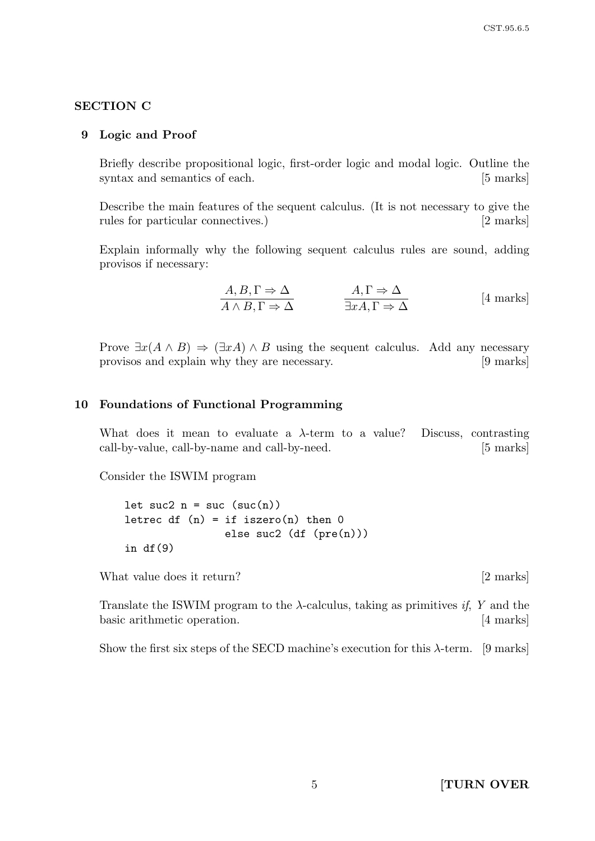#### SECTION C

#### 9 Logic and Proof

Briefly describe propositional logic, first-order logic and modal logic. Outline the syntax and semantics of each. [5 marks]

Describe the main features of the sequent calculus. (It is not necessary to give the rules for particular connectives.) [2 marks]

Explain informally why the following sequent calculus rules are sound, adding provisos if necessary:

$$
\frac{A, B, \Gamma \Rightarrow \Delta}{A \land B, \Gamma \Rightarrow \Delta} \qquad \frac{A, \Gamma \Rightarrow \Delta}{\exists x A, \Gamma \Rightarrow \Delta} \qquad [4 \text{ marks}]
$$

Prove  $\exists x(A \land B) \Rightarrow (\exists x A) \land B$  using the sequent calculus. Add any necessary provisos and explain why they are necessary. [9 marks]

#### 10 Foundations of Functional Programming

What does it mean to evaluate a  $\lambda$ -term to a value? Discuss, contrasting call-by-value, call-by-name and call-by-need. [5 marks]

Consider the ISWIM program

let suc2  $n = succ(suc(n))$ letrec df  $(n) = if iszero(n) then 0$ else suc2 (df (pre(n))) in  $df(9)$ 

What value does it return? [2 marks]

Translate the ISWIM program to the  $\lambda$ -calculus, taking as primitives *if*, Y and the basic arithmetic operation. [4 marks]

Show the first six steps of the SECD machine's execution for this  $\lambda$ -term. [9 marks]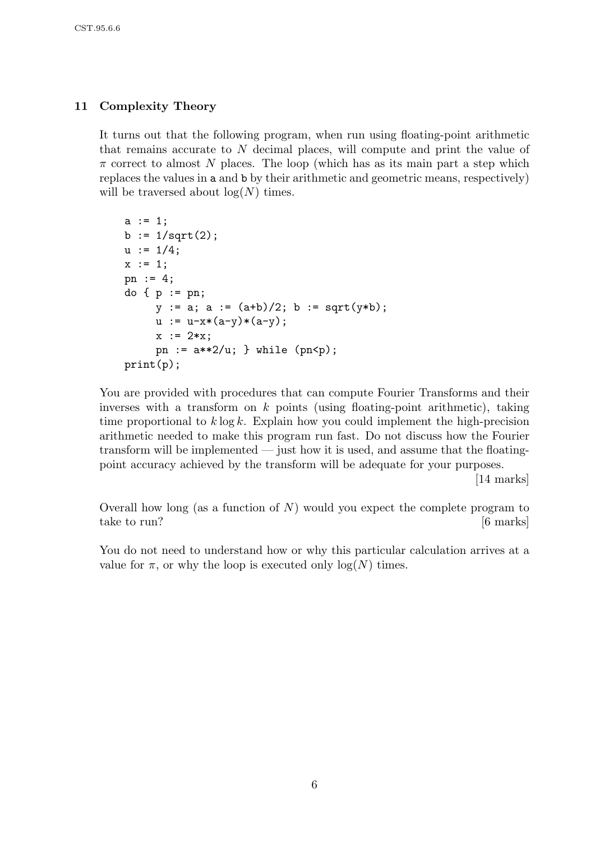## 11 Complexity Theory

It turns out that the following program, when run using floating-point arithmetic that remains accurate to N decimal places, will compute and print the value of  $\pi$  correct to almost N places. The loop (which has as its main part a step which replaces the values in a and b by their arithmetic and geometric means, respectively) will be traversed about  $log(N)$  times.

```
a := 1;b := 1/sqrt(2);u := 1/4;x := 1;pn := 4;
do \{ p := pn \}y := a; a := (a+b)/2; b := sqrt(y*b);
     u := u-x*(a-y)*(a-y);x := 2*x:
     pn := a**2/u; } while (pn < p);print(p);
```
You are provided with procedures that can compute Fourier Transforms and their inverses with a transform on  $k$  points (using floating-point arithmetic), taking time proportional to  $k \log k$ . Explain how you could implement the high-precision arithmetic needed to make this program run fast. Do not discuss how the Fourier transform will be implemented — just how it is used, and assume that the floatingpoint accuracy achieved by the transform will be adequate for your purposes.

[14 marks]

Overall how long (as a function of  $N$ ) would you expect the complete program to take to run? [6 marks]

You do not need to understand how or why this particular calculation arrives at a value for  $\pi$ , or why the loop is executed only  $log(N)$  times.